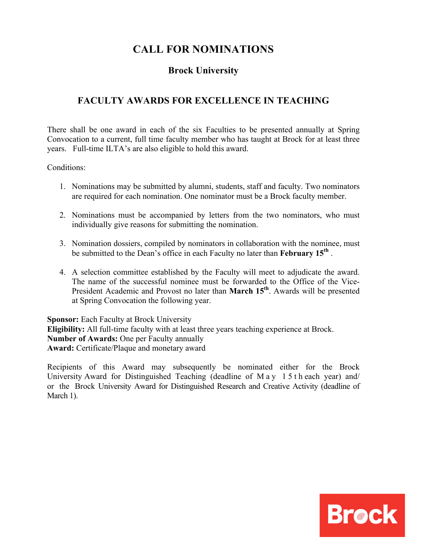# **CALL FOR NOMINATIONS**

## **Brock University**

## **FACULTY AWARDS FOR EXCELLENCE IN TEACHING**

There shall be one award in each of the six Faculties to be presented annually at Spring Convocation to a current, full time faculty member who has taught at Brock for at least three years. Full-time ILTA's are also eligible to hold this award.

Conditions:

- 1. Nominations may be submitted by alumni, students, staff and faculty. Two nominators are required for each nomination. One nominator must be a Brock faculty member.
- 2. Nominations must be accompanied by letters from the two nominators, who must individually give reasons for submitting the nomination.
- 3. Nomination dossiers, compiled by nominators in collaboration with the nominee, must be submitted to the Dean's office in each Faculty no later than **February 15th** .
- 4. A selection committee established by the Faculty will meet to adjudicate the award. The name of the successful nominee must be forwarded to the Office of the Vice-President Academic and Provost no later than **March 15<sup>th</sup>**. Awards will be presented at Spring Convocation the following year.

**Sponsor:** Each Faculty at Brock University **Eligibility:** All full-time faculty with at least three years teaching experience at Brock. **Number of Awards:** One per Faculty annually **Award:** Certificate/Plaque and monetary award

Recipients of this Award may subsequently be nominated either for the Brock University Award for Distinguished Teaching (deadline of May 15th each year) and/ or the Brock University Award for Distinguished Research and Creative Activity (deadline of March 1).

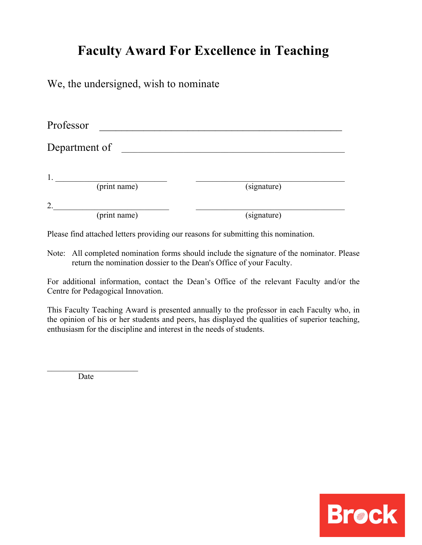# **Faculty Award For Excellence in Teaching**

We, the undersigned, wish to nominate

| Professor          |             |
|--------------------|-------------|
| Department of      |             |
| 1.<br>(print name) | (signature) |
| 2.                 |             |
| (print name)       | (signature) |

Please find attached letters providing our reasons for submitting this nomination.

Note: All completed nomination forms should include the signature of the nominator. Please return the nomination dossier to the Dean's Office of your Faculty.

For additional information, contact the Dean's Office of the relevant Faculty and/or the Centre for Pedagogical Innovation.

This Faculty Teaching Award is presented annually to the professor in each Faculty who, in the opinion of his or her students and peers, has displayed the qualities of superior teaching, enthusiasm for the discipline and interest in the needs of students.

Date

 $\overline{\phantom{a}}$  , where  $\overline{\phantom{a}}$ 

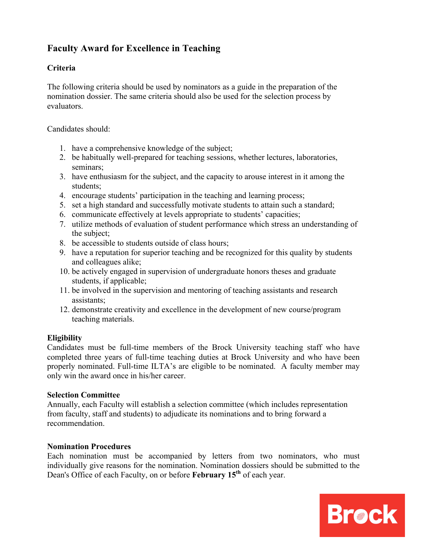# **Faculty Award for Excellence in Teaching**

## **Criteria**

The following criteria should be used by nominators as a guide in the preparation of the nomination dossier. The same criteria should also be used for the selection process by evaluators.

Candidates should:

- 1. have a comprehensive knowledge of the subject;
- 2. be habitually well-prepared for teaching sessions, whether lectures, laboratories, seminars;
- 3. have enthusiasm for the subject, and the capacity to arouse interest in it among the students;
- 4. encourage students' participation in the teaching and learning process;
- 5. set a high standard and successfully motivate students to attain such a standard;
- 6. communicate effectively at levels appropriate to students' capacities;
- 7. utilize methods of evaluation of student performance which stress an understanding of the subject;
- 8. be accessible to students outside of class hours;
- 9. have a reputation for superior teaching and be recognized for this quality by students and colleagues alike;
- 10. be actively engaged in supervision of undergraduate honors theses and graduate students, if applicable;
- 11. be involved in the supervision and mentoring of teaching assistants and research assistants;
- 12. demonstrate creativity and excellence in the development of new course/program teaching materials.

### **Eligibility**

Candidates must be full-time members of the Brock University teaching staff who have completed three years of full-time teaching duties at Brock University and who have been properly nominated. Full-time ILTA's are eligible to be nominated. A faculty member may only win the award once in his/her career.

#### **Selection Committee**

Annually, each Faculty will establish a selection committee (which includes representation from faculty, staff and students) to adjudicate its nominations and to bring forward a recommendation.

#### **Nomination Procedures**

Each nomination must be accompanied by letters from two nominators, who must individually give reasons for the nomination. Nomination dossiers should be submitted to the Dean's Office of each Faculty, on or before **February 15th** of each year.